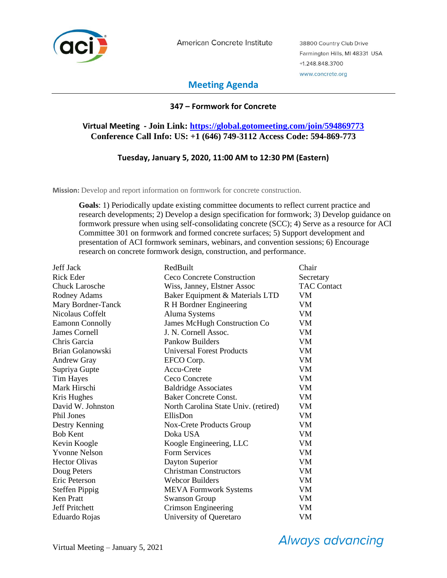

American Concrete Institute

38800 Country Club Drive Farmington Hills, MI 48331 USA +1.248.848.3700 www.concrete.org

# **Meeting Agenda**

## **347 – Formwork for Concrete**

# **Virtual Meeting - Join Link: [https://global.gotomeeting.com/join/594869773](https://nam02.safelinks.protection.outlook.com/?url=https%3A%2F%2Fglobal.gotomeeting.com%2Fjoin%2F594869773&data=04%7C01%7Cjjack%40redbuilt.com%7C567b4377eca64f15df5408d8829347ef%7C25a6f7bb3913488aa1d6724ab72c6693%7C0%7C0%7C637402916369410328%7CUnknown%7CTWFpbGZsb3d8eyJWIjoiMC4wLjAwMDAiLCJQIjoiV2luMzIiLCJBTiI6Ik1haWwiLCJXVCI6Mn0%3D%7C1000&sdata=OU3X5LYIf5j80S57KsXSnfUjwxH%2B9FkwZAcLCqfQVAc%3D&reserved=0) Conference Call Info: US: +1 (646) 749-3112 Access Code: 594-869-773**

### **Tuesday, January 5, 2020, 11:00 AM to 12:30 PM (Eastern)**

**Mission:** Develop and report information on formwork for concrete construction.

**Goals**: 1) Periodically update existing committee documents to reflect current practice and research developments; 2) Develop a design specification for formwork; 3) Develop guidance on formwork pressure when using self-consolidating concrete (SCC); 4) Serve as a resource for ACI Committee 301 on formwork and formed concrete surfaces; 5) Support development and presentation of ACI formwork seminars, webinars, and convention sessions; 6) Encourage research on concrete formwork design, construction, and performance.

| Jeff Jack              | RedBuilt                             | Chair              |
|------------------------|--------------------------------------|--------------------|
| <b>Rick Eder</b>       | Ceco Concrete Construction           | Secretary          |
| <b>Chuck Larosche</b>  | Wiss, Janney, Elstner Assoc          | <b>TAC Contact</b> |
| Rodney Adams           | Baker Equipment & Materials LTD      | VM                 |
| Mary Bordner-Tanck     | R H Bordner Engineering              | VM                 |
| Nicolaus Coffelt       | Aluma Systems                        | VM                 |
| <b>Eamonn Connolly</b> | <b>James McHugh Construction Co</b>  | VM                 |
| James Cornell          | J. N. Cornell Assoc.                 | VM                 |
| Chris Garcia           | Pankow Builders                      | VM                 |
| Brian Golanowski       | <b>Universal Forest Products</b>     | VM                 |
| <b>Andrew Gray</b>     | EFCO Corp.                           | <b>VM</b>          |
| Supriya Gupte          | Accu-Crete                           | VM                 |
| Tim Hayes              | Ceco Concrete                        | VM                 |
| Mark Hirschi           | <b>Baldridge Associates</b>          | <b>VM</b>          |
| Kris Hughes            | <b>Baker Concrete Const.</b>         | VM                 |
| David W. Johnston      | North Carolina State Univ. (retired) | VM                 |
| Phil Jones             | EllisDon                             | <b>VM</b>          |
| Destry Kenning         | Nox-Crete Products Group             | VM                 |
| <b>Bob Kent</b>        | Doka USA                             | VM                 |
| Kevin Koogle           | Koogle Engineering, LLC              | <b>VM</b>          |
| <b>Yvonne Nelson</b>   | <b>Form Services</b>                 | <b>VM</b>          |
| <b>Hector Olivas</b>   | Dayton Superior                      | VM                 |
| Doug Peters            | <b>Christman Constructors</b>        | VM                 |
| Eric Peterson          | <b>Webcor Builders</b>               | VM                 |
| <b>Steffen Pippig</b>  | <b>MEVA Formwork Systems</b>         | VM                 |
| <b>Ken Pratt</b>       | <b>Swanson Group</b>                 | VM                 |
| Jeff Pritchett         | Crimson Engineering                  | VM                 |
| Eduardo Rojas          | University of Queretaro              | VM                 |